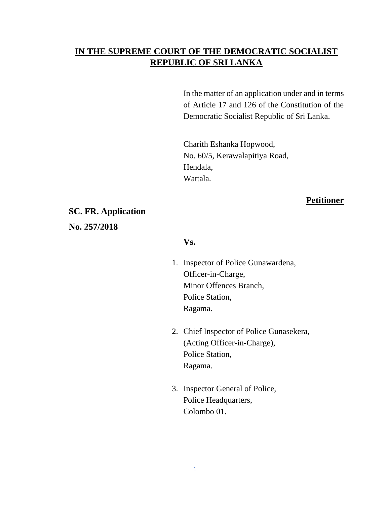## **IN THE SUPREME COURT OF THE DEMOCRATIC SOCIALIST REPUBLIC OF SRI LANKA**

In the matter of an application under and in terms of Article 17 and 126 of the Constitution of the Democratic Socialist Republic of Sri Lanka.

Charith Eshanka Hopwood, No. 60/5, Kerawalapitiya Road, Hendala, Wattala.

### **Petitioner**

## **SC. FR. Application**

**No. 257/2018**

### **Vs.**

- 1. Inspector of Police Gunawardena, Officer-in-Charge, Minor Offences Branch, Police Station, Ragama.
- 2. Chief Inspector of Police Gunasekera, (Acting Officer-in-Charge), Police Station, Ragama.
- 3. Inspector General of Police, Police Headquarters, Colombo 01.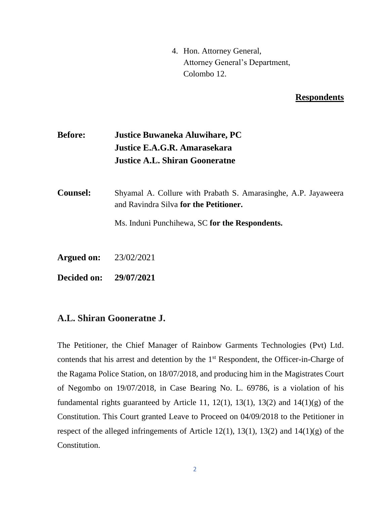4. Hon. Attorney General, Attorney General's Department, Colombo 12.

#### **Respondents**

# **Before: Justice Buwaneka Aluwihare, PC Justice E.A.G.R. Amarasekara Justice A.L. Shiran Gooneratne**

**Counsel:** Shyamal A. Collure with Prabath S. Amarasinghe, A.P. Jayaweera and Ravindra Silva **for the Petitioner.**

Ms. Induni Punchihewa, SC **for the Respondents.**

**Argued on:** 23/02/2021

**Decided on: 29/07/2021**

### **A.L. Shiran Gooneratne J.**

The Petitioner, the Chief Manager of Rainbow Garments Technologies (Pvt) Ltd. contends that his arrest and detention by the 1<sup>st</sup> Respondent, the Officer-in-Charge of the Ragama Police Station, on 18/07/2018, and producing him in the Magistrates Court of Negombo on 19/07/2018, in Case Bearing No. L. 69786, is a violation of his fundamental rights guaranteed by Article 11, 12(1), 13(1), 13(2) and  $14(1)(g)$  of the Constitution. This Court granted Leave to Proceed on 04/09/2018 to the Petitioner in respect of the alleged infringements of Article 12(1), 13(1), 13(2) and  $14(1)(g)$  of the Constitution.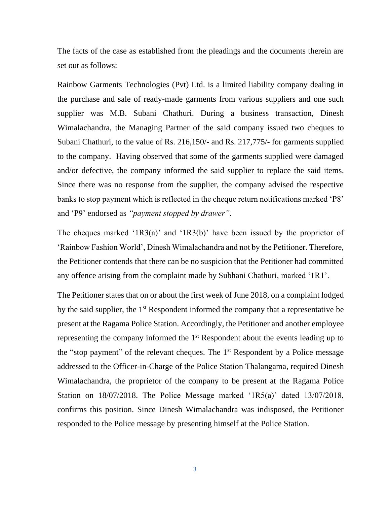The facts of the case as established from the pleadings and the documents therein are set out as follows:

Rainbow Garments Technologies (Pvt) Ltd. is a limited liability company dealing in the purchase and sale of ready-made garments from various suppliers and one such supplier was M.B. Subani Chathuri. During a business transaction, Dinesh Wimalachandra, the Managing Partner of the said company issued two cheques to Subani Chathuri, to the value of Rs. 216,150/- and Rs. 217,775/- for garments supplied to the company. Having observed that some of the garments supplied were damaged and/or defective, the company informed the said supplier to replace the said items. Since there was no response from the supplier, the company advised the respective banks to stop payment which is reflected in the cheque return notifications marked 'P8' and 'P9' endorsed as *"payment stopped by drawer"*.

The cheques marked '1R3(a)' and '1R3(b)' have been issued by the proprietor of 'Rainbow Fashion World', Dinesh Wimalachandra and not by the Petitioner. Therefore, the Petitioner contends that there can be no suspicion that the Petitioner had committed any offence arising from the complaint made by Subhani Chathuri, marked '1R1'.

The Petitioner states that on or about the first week of June 2018, on a complaint lodged by the said supplier, the 1<sup>st</sup> Respondent informed the company that a representative be present at the Ragama Police Station. Accordingly, the Petitioner and another employee representing the company informed the 1<sup>st</sup> Respondent about the events leading up to the "stop payment" of the relevant cheques. The  $1<sup>st</sup>$  Respondent by a Police message addressed to the Officer-in-Charge of the Police Station Thalangama, required Dinesh Wimalachandra, the proprietor of the company to be present at the Ragama Police Station on 18/07/2018. The Police Message marked '1R5(a)' dated 13/07/2018, confirms this position. Since Dinesh Wimalachandra was indisposed, the Petitioner responded to the Police message by presenting himself at the Police Station.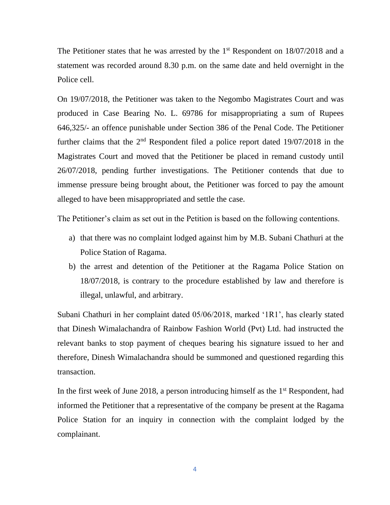The Petitioner states that he was arrested by the  $1<sup>st</sup>$  Respondent on  $18/07/2018$  and a statement was recorded around 8.30 p.m. on the same date and held overnight in the Police cell.

On 19/07/2018, the Petitioner was taken to the Negombo Magistrates Court and was produced in Case Bearing No. L. 69786 for misappropriating a sum of Rupees 646,325/- an offence punishable under Section 386 of the Penal Code. The Petitioner further claims that the  $2<sup>nd</sup>$  Respondent filed a police report dated 19/07/2018 in the Magistrates Court and moved that the Petitioner be placed in remand custody until 26/07/2018, pending further investigations. The Petitioner contends that due to immense pressure being brought about, the Petitioner was forced to pay the amount alleged to have been misappropriated and settle the case.

The Petitioner's claim as set out in the Petition is based on the following contentions.

- a) that there was no complaint lodged against him by M.B. Subani Chathuri at the Police Station of Ragama.
- b) the arrest and detention of the Petitioner at the Ragama Police Station on 18/07/2018, is contrary to the procedure established by law and therefore is illegal, unlawful, and arbitrary.

Subani Chathuri in her complaint dated 05/06/2018, marked '1R1', has clearly stated that Dinesh Wimalachandra of Rainbow Fashion World (Pvt) Ltd. had instructed the relevant banks to stop payment of cheques bearing his signature issued to her and therefore, Dinesh Wimalachandra should be summoned and questioned regarding this transaction.

In the first week of June 2018, a person introducing himself as the  $1<sup>st</sup>$  Respondent, had informed the Petitioner that a representative of the company be present at the Ragama Police Station for an inquiry in connection with the complaint lodged by the complainant.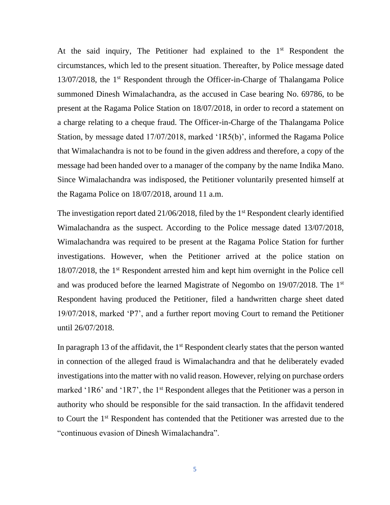At the said inquiry, The Petitioner had explained to the  $1<sup>st</sup>$  Respondent the circumstances, which led to the present situation. Thereafter, by Police message dated 13/07/2018, the 1st Respondent through the Officer-in-Charge of Thalangama Police summoned Dinesh Wimalachandra, as the accused in Case bearing No. 69786, to be present at the Ragama Police Station on 18/07/2018, in order to record a statement on a charge relating to a cheque fraud. The Officer-in-Charge of the Thalangama Police Station, by message dated 17/07/2018, marked '1R5(b)', informed the Ragama Police that Wimalachandra is not to be found in the given address and therefore, a copy of the message had been handed over to a manager of the company by the name Indika Mano. Since Wimalachandra was indisposed, the Petitioner voluntarily presented himself at the Ragama Police on 18/07/2018, around 11 a.m.

The investigation report dated  $21/06/2018$ , filed by the 1<sup>st</sup> Respondent clearly identified Wimalachandra as the suspect. According to the Police message dated 13/07/2018, Wimalachandra was required to be present at the Ragama Police Station for further investigations. However, when the Petitioner arrived at the police station on 18/07/2018, the 1st Respondent arrested him and kept him overnight in the Police cell and was produced before the learned Magistrate of Negombo on 19/07/2018. The 1st Respondent having produced the Petitioner, filed a handwritten charge sheet dated 19/07/2018, marked 'P7', and a further report moving Court to remand the Petitioner until 26/07/2018.

In paragraph 13 of the affidavit, the  $1<sup>st</sup>$  Respondent clearly states that the person wanted in connection of the alleged fraud is Wimalachandra and that he deliberately evaded investigations into the matter with no valid reason. However, relying on purchase orders marked '1R6' and '1R7', the 1<sup>st</sup> Respondent alleges that the Petitioner was a person in authority who should be responsible for the said transaction. In the affidavit tendered to Court the 1st Respondent has contended that the Petitioner was arrested due to the "continuous evasion of Dinesh Wimalachandra".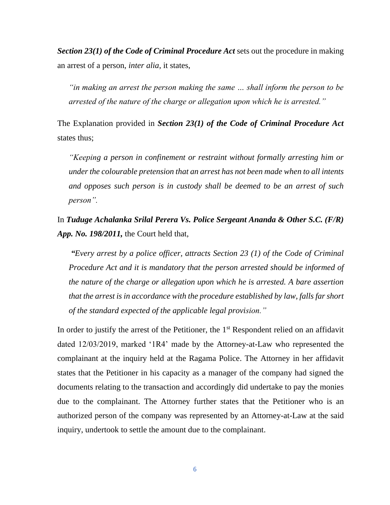*Section 23(1) of the Code of Criminal Procedure Act* sets out the procedure in making an arrest of a person, *inter alia*, it states,

*"in making an arrest the person making the same … shall inform the person to be arrested of the nature of the charge or allegation upon which he is arrested."*

The Explanation provided in *Section 23(1) of the Code of Criminal Procedure Act* states thus;

*"Keeping a person in confinement or restraint without formally arresting him or under the colourable pretension that an arrest has not been made when to all intents and opposes such person is in custody shall be deemed to be an arrest of such person".* 

In *Tuduge Achalanka Srilal Perera Vs. Police Sergeant Ananda & Other S.C. (F/R) App. No. 198/2011,* the Court held that,

*"Every arrest by a police officer, attracts Section 23 (1) of the Code of Criminal Procedure Act and it is mandatory that the person arrested should be informed of the nature of the charge or allegation upon which he is arrested. A bare assertion that the arrest is in accordance with the procedure established by law, falls far short of the standard expected of the applicable legal provision."*

In order to justify the arrest of the Petitioner, the  $1<sup>st</sup>$  Respondent relied on an affidavit dated 12/03/2019, marked '1R4' made by the Attorney-at-Law who represented the complainant at the inquiry held at the Ragama Police. The Attorney in her affidavit states that the Petitioner in his capacity as a manager of the company had signed the documents relating to the transaction and accordingly did undertake to pay the monies due to the complainant. The Attorney further states that the Petitioner who is an authorized person of the company was represented by an Attorney-at-Law at the said inquiry, undertook to settle the amount due to the complainant.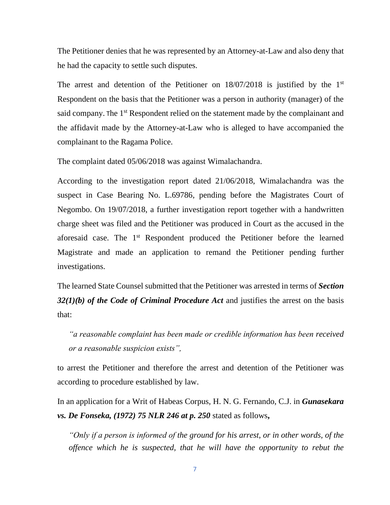The Petitioner denies that he was represented by an Attorney-at-Law and also deny that he had the capacity to settle such disputes.

The arrest and detention of the Petitioner on  $18/07/2018$  is justified by the  $1<sup>st</sup>$ Respondent on the basis that the Petitioner was a person in authority (manager) of the said company. The 1<sup>st</sup> Respondent relied on the statement made by the complainant and the affidavit made by the Attorney-at-Law who is alleged to have accompanied the complainant to the Ragama Police.

The complaint dated 05/06/2018 was against Wimalachandra.

According to the investigation report dated 21/06/2018, Wimalachandra was the suspect in Case Bearing No. L.69786, pending before the Magistrates Court of Negombo. On 19/07/2018, a further investigation report together with a handwritten charge sheet was filed and the Petitioner was produced in Court as the accused in the aforesaid case. The 1<sup>st</sup> Respondent produced the Petitioner before the learned Magistrate and made an application to remand the Petitioner pending further investigations.

The learned State Counsel submitted that the Petitioner was arrested in terms of *Section 32(1)(b) of the Code of Criminal Procedure Act* and justifies the arrest on the basis that:

*"a reasonable complaint has been made or credible information has been received or a reasonable suspicion exists",*

to arrest the Petitioner and therefore the arrest and detention of the Petitioner was according to procedure established by law.

In an application for a Writ of Habeas Corpus, H. N. G. Fernando, C.J. in *Gunasekara vs. De Fonseka, (1972) 75 NLR 246 at p. 250* stated as follows**,**

*"Only if a person is informed of the ground for his arrest, or in other words, of the offence which he is suspected, that he will have the opportunity to rebut the*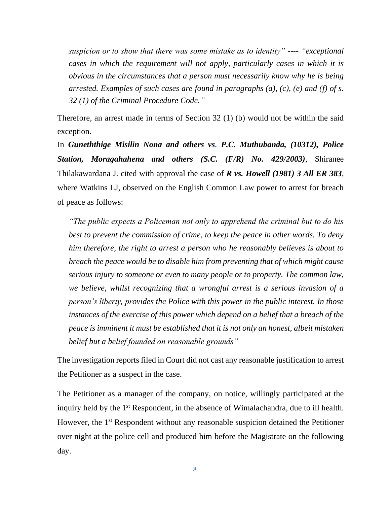*suspicion or to show that there was some mistake as to identity"* ---- *"exceptional cases in which the requirement will not apply, particularly cases in which it is obvious in the circumstances that a person must necessarily know why he is being arrested. Examples of such cases are found in paragraphs (a), (c), (e) and (f) of s. 32 (1) of the Criminal Procedure Code."*

Therefore, an arrest made in terms of Section 32 (1) (b) would not be within the said exception.

In *Guneththige Misilin Nona and others vs. P.C. Muthubanda, (10312), Police Station, Moragahahena and others (S.C. (F/R) No. 429/2003),* Shiranee Thilakawardana J. cited with approval the case of *R vs. Howell (1981) 3 All ER 383,* where Watkins LJ, observed on the English Common Law power to arrest for breach of peace as follows:

*"The public expects a Policeman not only to apprehend the criminal but to do his best to prevent the commission of crime, to keep the peace in other words. To deny him therefore, the right to arrest a person who he reasonably believes is about to breach the peace would be to disable him from preventing that of which might cause serious injury to someone or even to many people or to property. The common law, we believe, whilst recognizing that a wrongful arrest is a serious invasion of a person's liberty, provides the Police with this power in the public interest. In those instances of the exercise of this power which depend on a belief that a breach of the peace is imminent it must be established that it is not only an honest, albeit mistaken belief but a belief founded on reasonable grounds"*

The investigation reports filed in Court did not cast any reasonable justification to arrest the Petitioner as a suspect in the case.

The Petitioner as a manager of the company, on notice, willingly participated at the inquiry held by the 1<sup>st</sup> Respondent, in the absence of Wimalachandra, due to ill health. However, the 1<sup>st</sup> Respondent without any reasonable suspicion detained the Petitioner over night at the police cell and produced him before the Magistrate on the following day.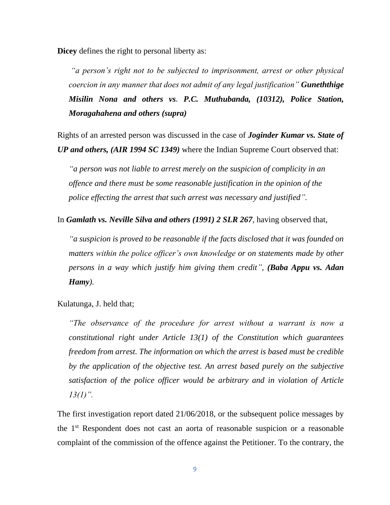**Dicey** defines the right to personal liberty as:

*"a person's right not to be subjected to imprisonment, arrest or other physical coercion in any manner that does not admit of any legal justification" Guneththige Misilin Nona and others vs. P.C. Muthubanda, (10312), Police Station, Moragahahena and others (supra)*

Rights of an arrested person was discussed in the case of *Joginder Kumar vs. State of UP and others, (AIR 1994 SC 1349)* where the Indian Supreme Court observed that:

*"a person was not liable to arrest merely on the suspicion of complicity in an offence and there must be some reasonable justification in the opinion of the police effecting the arrest that such arrest was necessary and justified".*

In *Gamlath vs. Neville Silva and others (1991) 2 SLR 267,* having observed that,

*"a suspicion is proved to be reasonable if the facts disclosed that it was founded on matters within the police officer's own knowledge or on statements made by other persons in a way which justify him giving them credit", (Baba Appu vs. Adan Hamy).*

Kulatunga, J. held that;

*"The observance of the procedure for arrest without a warrant is now a constitutional right under Article 13(1) of the Constitution which guarantees freedom from arrest. The information on which the arrest is based must be credible by the application of the objective test. An arrest based purely on the subjective satisfaction of the police officer would be arbitrary and in violation of Article 13(1)".* 

The first investigation report dated 21/06/2018, or the subsequent police messages by the 1st Respondent does not cast an aorta of reasonable suspicion or a reasonable complaint of the commission of the offence against the Petitioner. To the contrary, the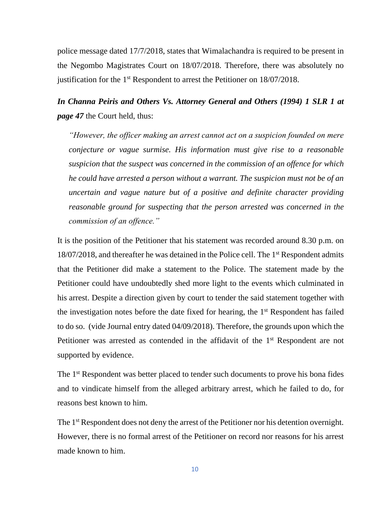police message dated 17/7/2018, states that Wimalachandra is required to be present in the Negombo Magistrates Court on 18/07/2018. Therefore, there was absolutely no justification for the 1st Respondent to arrest the Petitioner on 18/07/2018.

*In Channa Peiris and Others Vs. Attorney General and Others (1994) 1 SLR 1 at page 47* the Court held, thus:

*"However, the officer making an arrest cannot act on a suspicion founded on mere conjecture or vague surmise. His information must give rise to a reasonable suspicion that the suspect was concerned in the commission of an offence for which he could have arrested a person without a warrant. The suspicion must not be of an uncertain and vague nature but of a positive and definite character providing reasonable ground for suspecting that the person arrested was concerned in the commission of an offence."* 

It is the position of the Petitioner that his statement was recorded around 8.30 p.m. on 18/07/2018, and thereafter he was detained in the Police cell. The 1<sup>st</sup> Respondent admits that the Petitioner did make a statement to the Police. The statement made by the Petitioner could have undoubtedly shed more light to the events which culminated in his arrest. Despite a direction given by court to tender the said statement together with the investigation notes before the date fixed for hearing, the  $1<sup>st</sup>$  Respondent has failed to do so. (vide Journal entry dated 04/09/2018). Therefore, the grounds upon which the Petitioner was arrested as contended in the affidavit of the  $1<sup>st</sup>$  Respondent are not supported by evidence.

The 1<sup>st</sup> Respondent was better placed to tender such documents to prove his bona fides and to vindicate himself from the alleged arbitrary arrest, which he failed to do, for reasons best known to him.

The 1<sup>st</sup> Respondent does not deny the arrest of the Petitioner nor his detention overnight. However, there is no formal arrest of the Petitioner on record nor reasons for his arrest made known to him.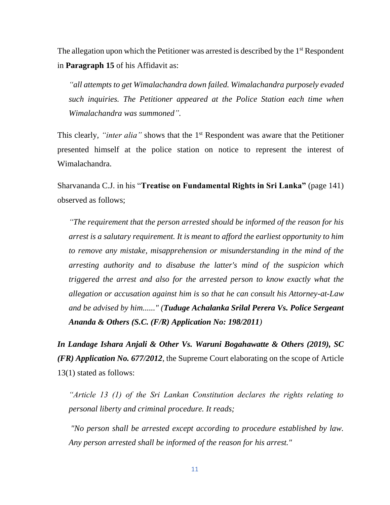The allegation upon which the Petitioner was arrested is described by the  $1<sup>st</sup>$  Respondent in **Paragraph 15** of his Affidavit as:

*"all attempts to get Wimalachandra down failed. Wimalachandra purposely evaded such inquiries. The Petitioner appeared at the Police Station each time when Wimalachandra was summoned".* 

This clearly, *"inter alia"* shows that the 1<sup>st</sup> Respondent was aware that the Petitioner presented himself at the police station on notice to represent the interest of Wimalachandra.

Sharvananda C.J. in his "**Treatise on Fundamental Rights in Sri Lanka"** (page 141) observed as follows;

*"The requirement that the person arrested should be informed of the reason for his arrest is a salutary requirement. It is meant to afford the earliest opportunity to him to remove any mistake, misapprehension or misunderstanding in the mind of the arresting authority and to disabuse the latter's mind of the suspicion which triggered the arrest and also for the arrested person to know exactly what the allegation or accusation against him is so that he can consult his Attorney-at-Law and be advised by him......" (Tuduge Achalanka Srilal Perera Vs. Police Sergeant Ananda & Others (S.C. (F/R) Application No: 198/2011)*

*In Landage Ishara Anjali & Other Vs. Waruni Bogahawatte & Others (2019), SC (FR) Application No. 677/2012*, the Supreme Court elaborating on the scope of Article 13(1) stated as follows:

*"Article 13 (1) of the Sri Lankan Constitution declares the rights relating to personal liberty and criminal procedure. It reads;*

*"No person shall be arrested except according to procedure established by law. Any person arrested shall be informed of the reason for his arrest."*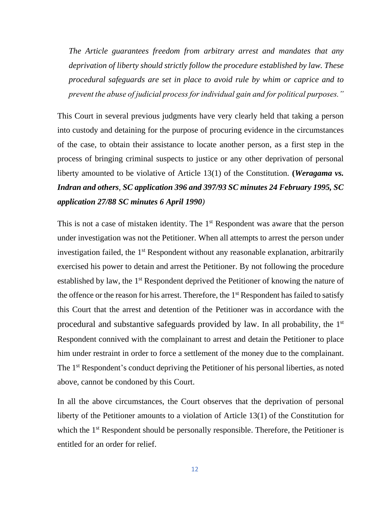*The Article guarantees freedom from arbitrary arrest and mandates that any deprivation of liberty should strictly follow the procedure established by law. These procedural safeguards are set in place to avoid rule by whim or caprice and to prevent the abuse of judicial process for individual gain and for political purposes."*

This Court in several previous judgments have very clearly held that taking a person into custody and detaining for the purpose of procuring evidence in the circumstances of the case, to obtain their assistance to locate another person, as a first step in the process of bringing criminal suspects to justice or any other deprivation of personal liberty amounted to be violative of Article 13(1) of the Constitution. **(***Weragama vs. Indran and others, SC application 396 and 397/93 SC minutes 24 February 1995, SC application 27/88 SC minutes 6 April 1990)*

This is not a case of mistaken identity. The 1<sup>st</sup> Respondent was aware that the person under investigation was not the Petitioner. When all attempts to arrest the person under investigation failed, the  $1<sup>st</sup>$  Respondent without any reasonable explanation, arbitrarily exercised his power to detain and arrest the Petitioner. By not following the procedure established by law, the 1<sup>st</sup> Respondent deprived the Petitioner of knowing the nature of the offence or the reason for his arrest. Therefore, the 1<sup>st</sup> Respondent has failed to satisfy this Court that the arrest and detention of the Petitioner was in accordance with the procedural and substantive safeguards provided by law. In all probability, the 1<sup>st</sup> Respondent connived with the complainant to arrest and detain the Petitioner to place him under restraint in order to force a settlement of the money due to the complainant. The 1<sup>st</sup> Respondent's conduct depriving the Petitioner of his personal liberties, as noted above, cannot be condoned by this Court.

In all the above circumstances, the Court observes that the deprivation of personal liberty of the Petitioner amounts to a violation of Article 13(1) of the Constitution for which the 1<sup>st</sup> Respondent should be personally responsible. Therefore, the Petitioner is entitled for an order for relief.